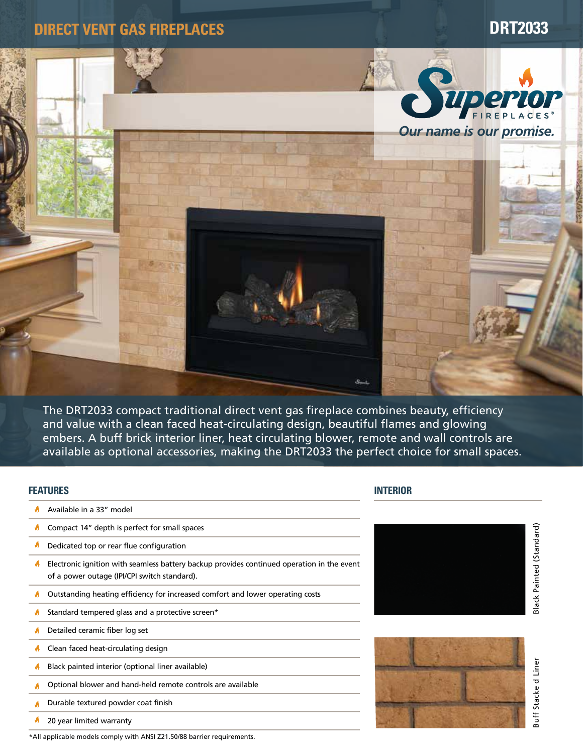**DIRECT VENT GAS FIREPLACES DRT2033**



The DRT2033 compact traditional direct vent gas fireplace combines beauty, efficiency and value with a clean faced heat-circulating design, beautiful flames and glowing embers. A buff brick interior liner, heat circulating blower, remote and wall controls are available as optional accessories, making the DRT2033 the perfect choice for small spaces.

#### **FEATURES**

- A Available in a 33" model
- Compact 14" depth is perfect for small spaces Á
- ø Dedicated top or rear flue configuration
- ø. Electronic ignition with seamless battery backup provides continued operation in the event of a power outage (IPI/CPI switch standard).
- M Outstanding heating efficiency for increased comfort and lower operating costs
- Ŵ Standard tempered glass and a protective screen\*
- Detailed ceramic fiber log set W
- Ŵ Clean faced heat-circulating design
- ø Black painted interior (optional liner available)
- Optional blower and hand-held remote controls are available Á
- Durable textured powder coat finish A
- ø 20 year limited warranty
- \*All applicable models comply with ANSI Z21.50/88 barrier requirements.

## **INTERIOR**